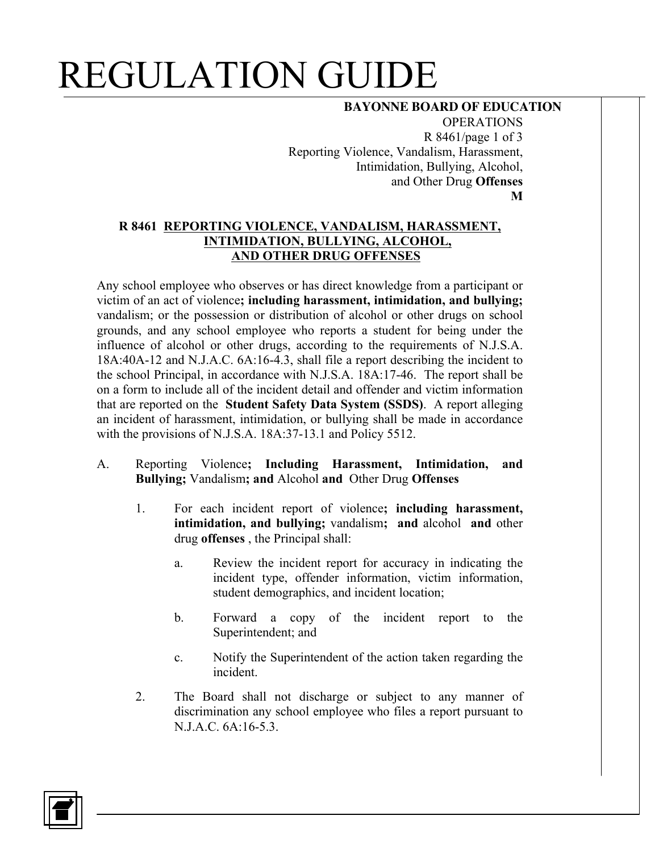## REGULATION GUIDE

### **BAYONNE BOARD OF EDUCATION**

OPERATIONS R 8461/page 1 of 3 Reporting Violence, Vandalism, Harassment, Intimidation, Bullying, Alcohol, and Other Drug **Offenses M**

### **R 8461 REPORTING VIOLENCE, VANDALISM, HARASSMENT, INTIMIDATION, BULLYING, ALCOHOL, AND OTHER DRUG OFFENSES**

Any school employee who observes or has direct knowledge from a participant or victim of an act of violence**; including harassment, intimidation, and bullying;** vandalism; or the possession or distribution of alcohol or other drugs on school grounds, and any school employee who reports a student for being under the influence of alcohol or other drugs, according to the requirements of N.J.S.A. 18A:40A-12 and N.J.A.C. 6A:16-4.3, shall file a report describing the incident to the school Principal, in accordance with N.J.S.A. 18A:17-46. The report shall be on a form to include all of the incident detail and offender and victim information that are reported on the **Student Safety Data System (SSDS)**. A report alleging an incident of harassment, intimidation, or bullying shall be made in accordance with the provisions of N.J.S.A. 18A:37-13.1 and Policy 5512.

- A. Reporting Violence**; Including Harassment, Intimidation, and Bullying;** Vandalism**; and** Alcohol **and** Other Drug **Offenses** 
	- 1. For each incident report of violence**; including harassment, intimidation, and bullying;** vandalism**; and** alcohol **and** other drug **offenses** , the Principal shall:
		- a. Review the incident report for accuracy in indicating the incident type, offender information, victim information, student demographics, and incident location;
		- b. Forward a copy of the incident report to the Superintendent; and
		- c. Notify the Superintendent of the action taken regarding the incident.
	- 2. The Board shall not discharge or subject to any manner of discrimination any school employee who files a report pursuant to N.J.A.C. 6A:16-5.3.

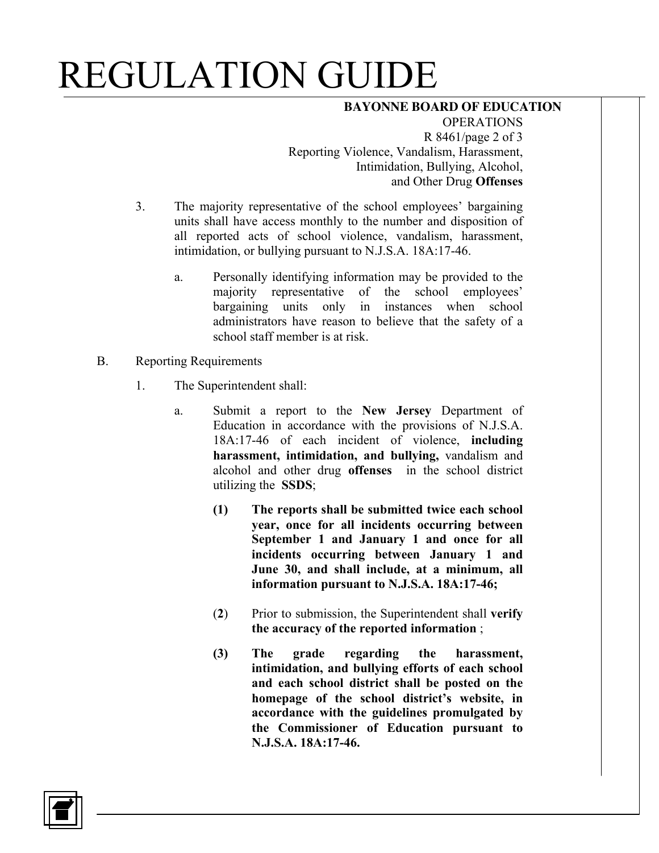# REGULATION GUIDE

### **BAYONNE BOARD OF EDUCATION**

**OPERATIONS** R 8461/page 2 of 3 Reporting Violence, Vandalism, Harassment, Intimidation, Bullying, Alcohol, and Other Drug **Offenses** 

- 3. The majority representative of the school employees' bargaining units shall have access monthly to the number and disposition of all reported acts of school violence, vandalism, harassment, intimidation, or bullying pursuant to N.J.S.A. 18A:17-46.
	- a. Personally identifying information may be provided to the majority representative of the school employees' bargaining units only in instances when school administrators have reason to believe that the safety of a school staff member is at risk.
- B. Reporting Requirements
	- 1. The Superintendent shall:
		- a. Submit a report to the **New Jersey** Department of Education in accordance with the provisions of N.J.S.A. 18A:17-46 of each incident of violence, **including harassment, intimidation, and bullying,** vandalism and alcohol and other drug **offenses** in the school district utilizing the **SSDS**;
			- **(1) The reports shall be submitted twice each school year, once for all incidents occurring between September 1 and January 1 and once for all incidents occurring between January 1 and June 30, and shall include, at a minimum, all information pursuant to N.J.S.A. 18A:17-46;**
			- (**2**) Prior to submission, the Superintendent shall **verify the accuracy of the reported information** ;
			- **(3) The grade regarding the harassment, intimidation, and bullying efforts of each school and each school district shall be posted on the homepage of the school district's website, in accordance with the guidelines promulgated by the Commissioner of Education pursuant to N.J.S.A. 18A:17-46.**